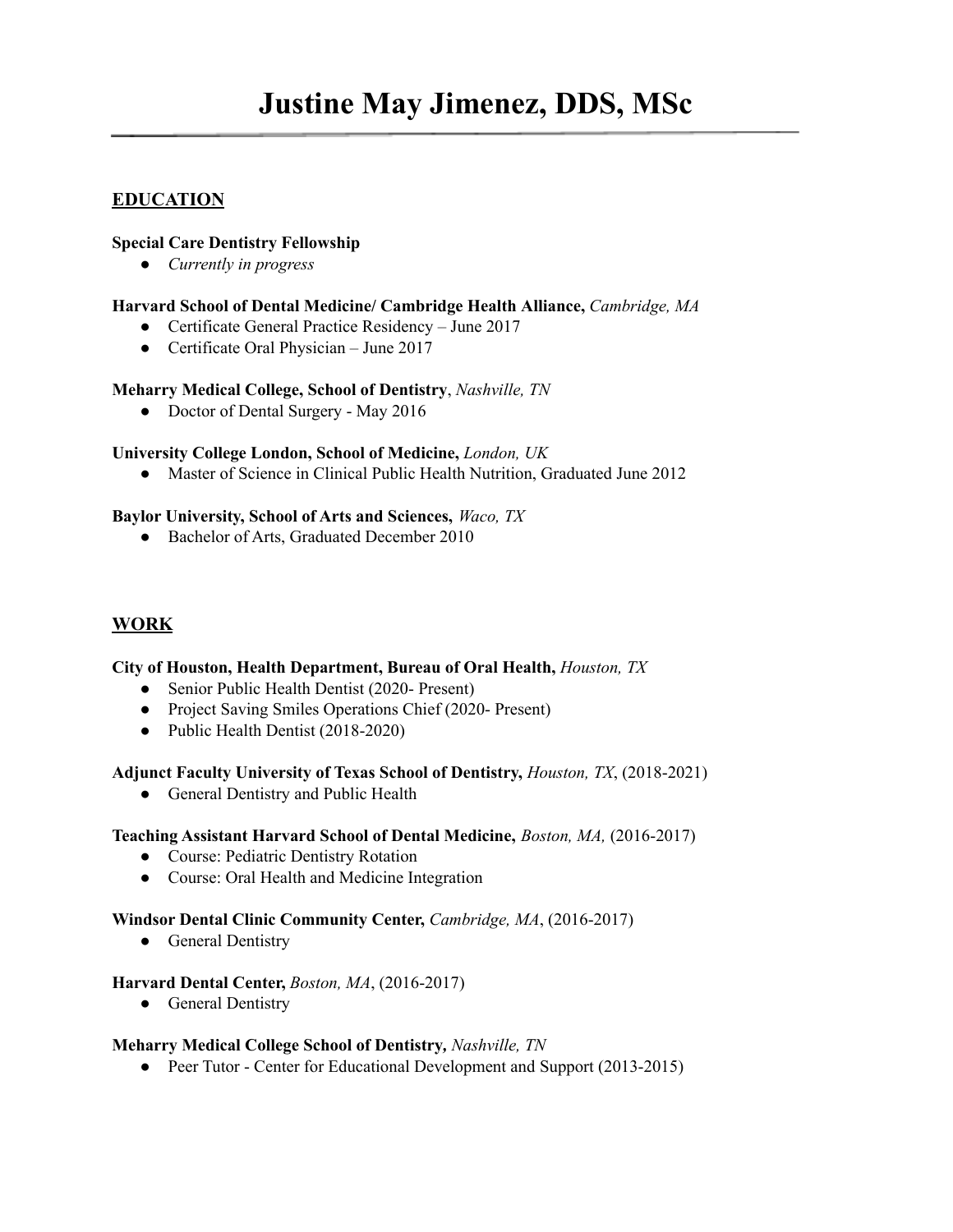# **Justine May Jimenez, DDS, MSc**

# **EDUCATION**

### **Special Care Dentistry Fellowship**

*● Currently in progress*

### **Harvard School of Dental Medicine/ Cambridge Health Alliance,** *Cambridge, MA*

- Certificate General Practice Residency June 2017
- Certificate Oral Physician June 2017

## **Meharry Medical College, School of Dentistry**, *Nashville, TN*

● Doctor of Dental Surgery - May 2016

## **University College London, School of Medicine,** *London, UK*

● Master of Science in Clinical Public Health Nutrition, Graduated June 2012

## **Baylor University, School of Arts and Sciences,** *Waco, TX*

• Bachelor of Arts, Graduated December 2010

# **WORK**

#### **City of Houston, Health Department, Bureau of Oral Health,** *Houston, TX*

- Senior Public Health Dentist (2020- Present)
- Project Saving Smiles Operations Chief (2020- Present)
- Public Health Dentist (2018-2020)

#### **Adjunct Faculty University of Texas School of Dentistry,** *Houston, TX*, (2018-2021)

• General Dentistry and Public Health

#### **Teaching Assistant Harvard School of Dental Medicine,** *Boston, MA,* (2016-2017)

- Course: Pediatric Dentistry Rotation
- Course: Oral Health and Medicine Integration

#### **Windsor Dental Clinic Community Center,** *Cambridge, MA*, (2016-2017)

• General Dentistry

#### **Harvard Dental Center,** *Boston, MA*, (2016-2017)

• General Dentistry

#### **Meharry Medical College School of Dentistry***, Nashville, TN*

● Peer Tutor - Center for Educational Development and Support (2013-2015)